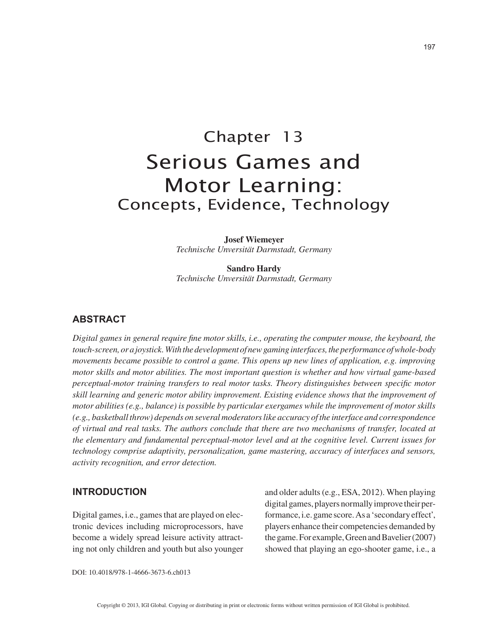**Serious Games and motor learning - concepts, evidence, technology**. In: Bredl, K. & Bösche, W., vol. Serious Digital Games, MUVE and MMORPG in Adult Education and Health Care: Research, Reviews, Case Studies, and Lessons Learned, chap. Serious Digital Games, MUVE and MMORPG in Adult Education and Health Care: Research, Reviews, Case Studies, and Lessons Learned, IGI-Global, February 2013.

# Chapter 13 Serious Games and Motor Learning: Concepts, Evidence, Technology

**Josef Wiemeyer** *Technische Unversität Darmstadt, Germany*

**Sandro Hardy** *Technische Unversität Darmstadt, Germany*

## **ABSTRACT**

*Digital games in general require fine motor skills, i.e., operating the computer mouse, the keyboard, the touch-screen, or a joystick. With the development of new gaming interfaces, the performance of whole-body movements became possible to control a game. This opens up new lines of application, e.g. improving motor skills and motor abilities. The most important question is whether and how virtual game-based perceptual-motor training transfers to real motor tasks. Theory distinguishes between specific motor skill learning and generic motor ability improvement. Existing evidence shows that the improvement of motor abilities (e.g., balance) is possible by particular exergames while the improvement of motor skills (e.g., basketball throw) depends on several moderators like accuracy of the interface and correspondence of virtual and real tasks. The authors conclude that there are two mechanisms of transfer, located at the elementary and fundamental perceptual-motor level and at the cognitive level. Current issues for technology comprise adaptivity, personalization, game mastering, accuracy of interfaces and sensors, activity recognition, and error detection.*

## **INTRODUCTION**

Digital games, i.e., games that are played on electronic devices including microprocessors, have become a widely spread leisure activity attracting not only children and youth but also younger and older adults (e.g., ESA, 2012). When playing digital games, players normally improve their performance, i.e. game score. As a 'secondary effect', players enhance their competencies demanded by the game. For example, Green and Bavelier (2007) showed that playing an ego-shooter game, i.e., a

DOI: 10.4018/978-1-4666-3673-6.ch013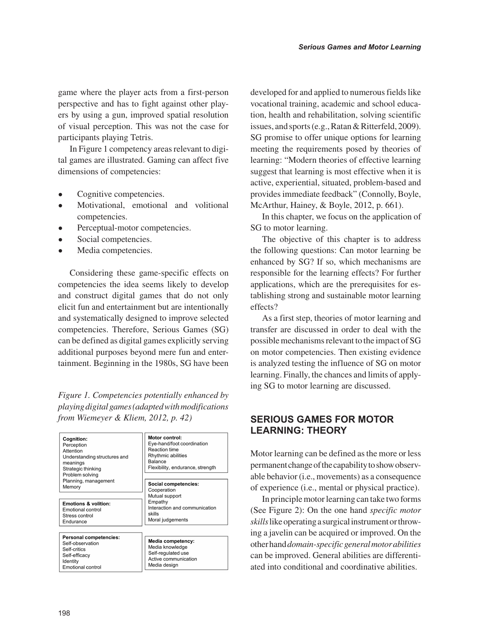game where the player acts from a first-person perspective and has to fight against other players by using a gun, improved spatial resolution of visual perception. This was not the case for participants playing Tetris.

In Figure 1 competency areas relevant to digital games are illustrated. Gaming can affect five dimensions of competencies:

- Cognitive competencies.
- Motivational, emotional and volitional competencies.
- Perceptual-motor competencies.
- Social competencies.
- Media competencies.

Considering these game-specific effects on competencies the idea seems likely to develop and construct digital games that do not only elicit fun and entertainment but are intentionally and systematically designed to improve selected competencies. Therefore, Serious Games (SG) can be defined as digital games explicitly serving additional purposes beyond mere fun and entertainment. Beginning in the 1980s, SG have been

*Figure 1. Competencies potentially enhanced by playing digital games (adapted with modifications from Wiemeyer & Kliem, 2012, p. 42)*

| Cognition:<br>Perception<br>Attention<br>Understanding structures and<br>meanings<br>Strategic thinking<br>Problem solving | Motor control:<br>Eye-hand/foot coordination<br>Reaction time<br>Rhythmic abilities<br>Balance<br>Flexibility, endurance, strength |
|----------------------------------------------------------------------------------------------------------------------------|------------------------------------------------------------------------------------------------------------------------------------|
| Planning, management<br>Memory<br><b>Emotions &amp; volition:</b><br>Emotional control<br>Stress control<br>Endurance      | Social competencies:<br>Cooperation<br>Mutual support<br>Empathy<br>Interaction and communication<br>skills<br>Moral judgements    |
| Personal competencies:<br>Self-observation<br>Self-critics<br>Self-efficacy<br>Identity<br>Emotional control               | Media competency:<br>Media knowledge<br>Self-regulated use<br>Active communication<br>Media design                                 |

developed for and applied to numerous fields like vocational training, academic and school education, health and rehabilitation, solving scientific issues, and sports (e.g., Ratan & Ritterfeld, 2009). SG promise to offer unique options for learning meeting the requirements posed by theories of learning: "Modern theories of effective learning suggest that learning is most effective when it is active, experiential, situated, problem-based and provides immediate feedback" (Connolly, Boyle, McArthur, Hainey, & Boyle, 2012, p. 661).

In this chapter, we focus on the application of SG to motor learning.

The objective of this chapter is to address the following questions: Can motor learning be enhanced by SG? If so, which mechanisms are responsible for the learning effects? For further applications, which are the prerequisites for establishing strong and sustainable motor learning effects?

As a first step, theories of motor learning and transfer are discussed in order to deal with the possible mechanisms relevant to the impact of SG on motor competencies. Then existing evidence is analyzed testing the influence of SG on motor learning. Finally, the chances and limits of applying SG to motor learning are discussed.

# **SERIOUS GAMES FOR MOTOR LEARNING: THEORY**

Motor learning can be defined as the more or less permanent change of the capability to show observable behavior (i.e., movements) as a consequence of experience (i.e., mental or physical practice).

In principle motor learning can take two forms (See Figure 2): On the one hand *specific motor skills* like operating a surgical instrument or throwing a javelin can be acquired or improved. On the other hand *domain-specific general motor abilities* can be improved. General abilities are differentiated into conditional and coordinative abilities.